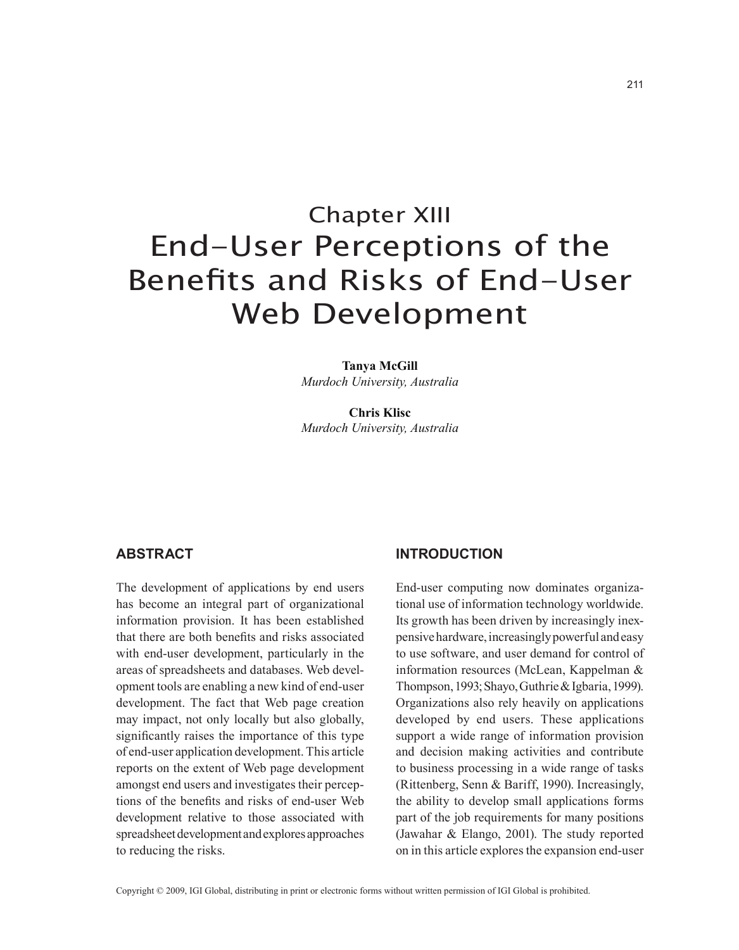# Chapter XIII End-User Perceptions of the Benefits and Risks of End-User Web Development

**Tanya McGill** *Murdoch University, Australia*

**Chris Klisc** *Murdoch University, Australia*

## **absTracT**

The development of applications by end users has become an integral part of organizational information provision. It has been established that there are both benefits and risks associated with end-user development, particularly in the areas of spreadsheets and databases. Web development tools are enabling a new kind of end-user development. The fact that Web page creation may impact, not only locally but also globally, significantly raises the importance of this type of end-user application development. This article reports on the extent of Web page development amongst end users and investigates their perceptions of the benefits and risks of end-user Web development relative to those associated with spreadsheet development and explores approaches to reducing the risks.

### **InTroDucTIon**

End-user computing now dominates organizational use of information technology worldwide. Its growth has been driven by increasingly inexpensive hardware, increasingly powerful and easy to use software, and user demand for control of information resources (McLean, Kappelman & Thompson, 1993; Shayo, Guthrie & Igbaria, 1999). Organizations also rely heavily on applications developed by end users. These applications support a wide range of information provision and decision making activities and contribute to business processing in a wide range of tasks (Rittenberg, Senn & Bariff, 1990). Increasingly, the ability to develop small applications forms part of the job requirements for many positions (Jawahar & Elango, 2001). The study reported on in this article explores the expansion end-user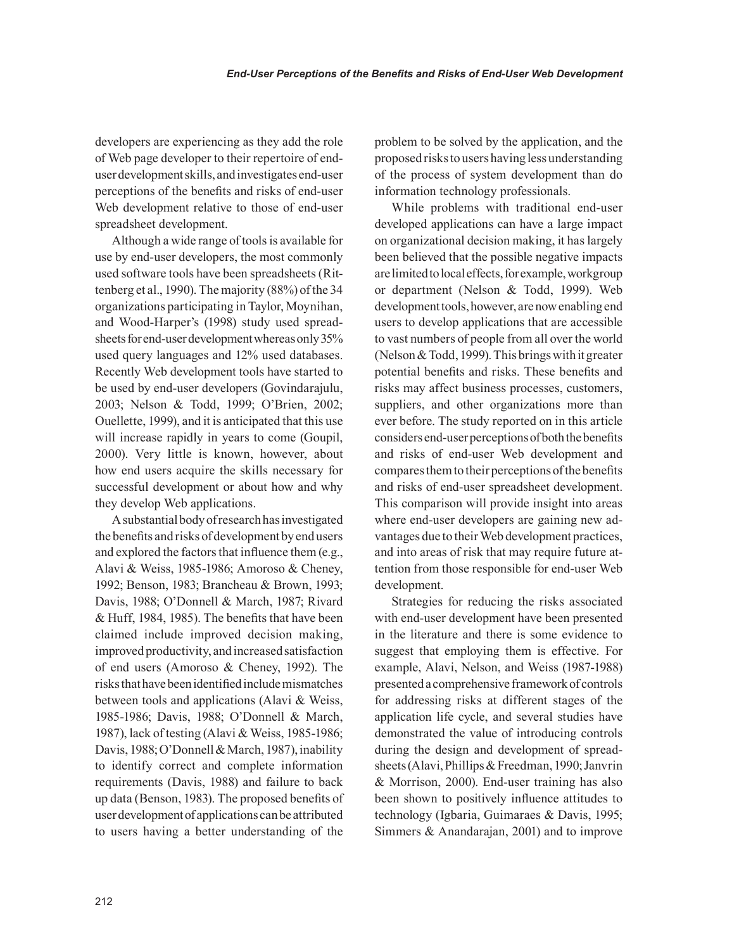developers are experiencing as they add the role of Web page developer to their repertoire of enduser development skills, and investigates end-user perceptions of the benefits and risks of end-user Web development relative to those of end-user spreadsheet development.

Although a wide range of tools is available for use by end-user developers, the most commonly used software tools have been spreadsheets (Rittenberg et al., 1990). The majority (88%) of the 34 organizations participating in Taylor, Moynihan, and Wood-Harper's (1998) study used spreadsheets for end-user development whereas only 35% used query languages and 12% used databases. Recently Web development tools have started to be used by end-user developers (Govindarajulu, 2003; Nelson & Todd, 1999; O'Brien, 2002; Ouellette, 1999), and it is anticipated that this use will increase rapidly in years to come (Goupil, 2000). Very little is known, however, about how end users acquire the skills necessary for successful development or about how and why they develop Web applications.

A substantial body of research has investigated the benefits and risks of development by end users and explored the factors that influence them (e.g., Alavi & Weiss, 1985-1986; Amoroso & Cheney, 1992; Benson, 1983; Brancheau & Brown, 1993; Davis, 1988; O'Donnell & March, 1987; Rivard & Huff, 1984, 1985). The benefits that have been claimed include improved decision making, improved productivity, and increased satisfaction of end users (Amoroso & Cheney, 1992). The risks that have been identified include mismatches between tools and applications (Alavi & Weiss, 1985-1986; Davis, 1988; O'Donnell & March, 1987), lack of testing (Alavi & Weiss, 1985-1986; Davis, 1988; O'Donnell & March, 1987), inability to identify correct and complete information requirements (Davis, 1988) and failure to back up data (Benson, 1983). The proposed benefits of user development of applications can be attributed to users having a better understanding of the problem to be solved by the application, and the proposed risks to users having less understanding of the process of system development than do information technology professionals.

While problems with traditional end-user developed applications can have a large impact on organizational decision making, it has largely been believed that the possible negative impacts are limited to local effects, for example, workgroup or department (Nelson & Todd, 1999). Web development tools, however, are now enabling end users to develop applications that are accessible to vast numbers of people from all over the world (Nelson & Todd, 1999). This brings with it greater potential benefits and risks. These benefits and risks may affect business processes, customers, suppliers, and other organizations more than ever before. The study reported on in this article considers end-user perceptions of both the benefits and risks of end-user Web development and compares them to their perceptions of the benefits and risks of end-user spreadsheet development. This comparison will provide insight into areas where end-user developers are gaining new advantages due to their Web development practices, and into areas of risk that may require future attention from those responsible for end-user Web development.

Strategies for reducing the risks associated with end-user development have been presented in the literature and there is some evidence to suggest that employing them is effective. For example, Alavi, Nelson, and Weiss (1987-1988) presented a comprehensive framework of controls for addressing risks at different stages of the application life cycle, and several studies have demonstrated the value of introducing controls during the design and development of spreadsheets (Alavi, Phillips & Freedman, 1990; Janvrin & Morrison, 2000). End-user training has also been shown to positively influence attitudes to technology (Igbaria, Guimaraes & Davis, 1995; Simmers & Anandarajan, 2001) and to improve